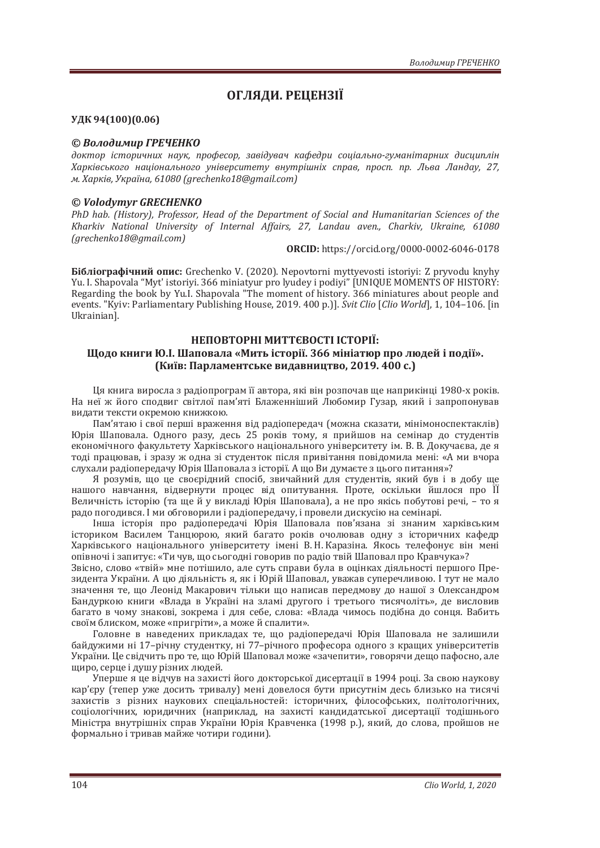# ОГЛЯДИ. РЕЦЕНЗІЇ

## УДК 94(100)(0.06)

#### © Володимир ГРЕЧЕНКО

доктор *історичних наук, професор, завідувач кафедри соціально-гуманітарних дисциплін* Харківського національного університету внутрішніх справ, просп. пр. Льва Ландау, 27,  $M. Xapkis, Ykpaiha, 61080 (green henko18@gmail.com)$ 

### *© Volodymyr GRECHENKO*

*PhD hab. (History), Professor, Head of the Department of Social and Humanitarian Sciences of the Kharkiv National University of Internal Affairs, 27, Landau aven., Charkiv, Ukraine. 61080 (grechenkoͷ;̻gmail.com)*

**ORCID:** https://orcid.org/0000-0002-6046-0178

**Бібліографічний опис:** Grechenko V. (2020). Nepovtorni myttyevosti istoriyi: Z pryvodu knyhy Yu. I. Shapovala "Myt' istoriyi. 366 miniatyur pro lyudey i podiyi" [UNIQUE MOMENTS OF HISTORY: Regarding the book by Yu.I. Shapovala "The moment of history. 366 miniatures about people and events. "Kyiv: Parliamentary Publishing House, 2019. 400 p.)]. Svit Clio [Clio World], 1, 104-106. [in Ukrainian].

## НЕПОВТОРНІ МИТТЄВОСТІ ІСТОРІЇ: Шодо книги Ю.І. Шаповала «Мить історії. 366 мініатюр про людей і події». (Київ: Парламентське видавництво, 2019. 400 с.)

Ця книга виросла з радіопрограм її автора, які він розпочав ще наприкінці 1980-х років. На неї ж його сподвиг світлої пам'яті Блаженніший Любомир Гузар, який і запропонував видати тексти окремою книжкою.

Пам'ятаю і свої перші враження від радіопередач (можна сказати, мінімоноспектаклів) Юрія Шаповала. Одного разу, десь 25 років тому, я прийшов на семінар до студентів економічного факультету Харківського національного університету ім. В. В. Докучаєва, де я тоді працював, і зразу ж одна зі студенток після привітання повідомила мені: «А ми вчора слухали радіопередачу Юрія Шаповала з історії. А що Ви думаєте з цього питання»?

Я розумів, що це своєрідний спосіб, звичайний для студентів, який був і в добу ще нашого навчання, відвернути процес від опитування. Проте, оскільки йшлося про ЇЇ Величність історію (та ще й у викладі Юрія Шаповала), а не про якісь побутові речі, - то я радо погодився. І ми обговорили і радіопередачу, і провели дискусію на семінарі.

Інша історія про радіопередачі Юрія Шаповала пов'язана зі знаним харківським істориком Василем Танцюрою, який багато років очолював одну з історичних кафедр Харківського національного університету імені В. Н. Каразіна. Якось телефонує він мені опівночі і запитує: «Ти чув, що сьогодні говорив по радіо твій Шаповал про Кравчука»?

Звісно, слово «твій» мне потішило, але суть справи була в оцінках діяльності першого Президента України. А цю діяльність я, як і Юрій Шаповал, уважав суперечливою. І тут не мало значення те, що Леонід Макарович тільки що написав передмову до нашої з Олександром Бандуркою книги «Влада в Україні на зламі другого і третього тисячоліть», де висловив багато в чому знакові, зокрема і для себе, слова: «Влада чимось подібна до сонця. Вабить своїм блиском, може «пригріти», а може й спалити».

Головне в наведених прикладах те, що радіопередачі Юрія Шаповала не залишили байдужими ні 17-річну студентку, ні 77-річного професора одного з кращих університетів України. Це свідчить про те, що Юрій Шаповал може «зачепити», говорячи дещо пафосно, але широ, серце і душу різних людей.

Уперше я це відчув на захисті його докторської дисертації в 1994 році. За свою наукову кар'єру (тепер уже досить тривалу) мені довелося бути присутнім десь близько на тисячі захистів з різних наукових спеціальностей: історичних, філософських, політологічних, соціологічних, юридичних (наприклад, на захисті кандидатської дисертації тодішнього Міністра внутрішніх справ України Юрія Кравченка (1998 р.), який, до слова, пройшов не формально і тривав майже чотири години).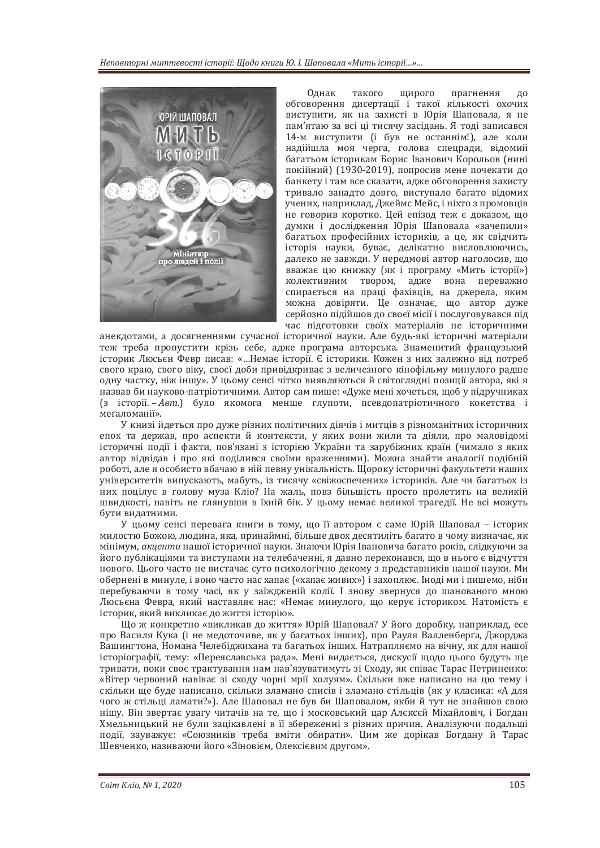

Олнак такого широго прагнення до обговорення дисертації і такої кількості охочих виступити, як на захисті в Юрія Шаповала, я не пам'ятаю за всі ці тисячу засідань. Я тоді записався 14-м виступити (і був не останнім!), але коли надійшла моя черга, голова спецради, відомий багатьом історикам Борис Іванович Корольов (нині покійний) (1930-2019), попросив мене почекати до банкету і там все сказати, адже обговорення захисту тривало занадто довго, виступало багато відомих учених, наприклад, Джеймс Мейс, і ніхто з промовців не говорив коротко. Цей епізод теж є доказом, що думки і дослідження Юрія Шаповала «зачепили» багатьох професійних істориків, а це, як свідчить історія науки, буває, делікатно висловлюючись, далеко не завжди. У передмові автор наголосив, що вважає цю книжку (як і програму «Мить історії») колективним твором, адже вона переважно спирається на праці фахівців, на джерела, яким можна довіряти. Це означає, що автор дуже серйозно пілійшов до своєї місії і послуговувався під час підготовки своїх матеріалів не історичними

анекдотами, а досягненнями сучасної історичної науки. Але будь-які історичні матеріали теж треба пропустити крізь себе, адже програма авторська. Знаменитий французький історик Люсьєн Февр писав: «...Немає історії. Є історики. Кожен з них залежно від потреб свого краю, свого віку, своєї доби привідкриває з величезного кінофільму минулого радше одну частку, ніж іншу». У цьому сенсі чітко виявляються й світоглядні позиції автора, які я назвав би науково-патріотичними. Автор сам пише: «Дуже мені хочеться, щоб у підручниках (з історії. – Авт.) було якомога менше глупоти, псевдопатріотичного кокетства і меґаломанії».

У книзі йдеться про дуже різних політичних діячів і митців з різноманітних історичних епох та держав, про аспекти й контексти, у яких вони жили та діяли, про маловідомі історичні події і факти, пов'язані з історією України та зарубіжних країн (чимало з яких автор відвідав і про які поділився своїми враженнями). Можна знайти аналогії подібній роботі, але я особисто вбачаю в ній певну унікальність. Щороку історичні факультети наших університетів випускають, мабуть, із тисячу «свіжоспечених» істориків. Але чи багатьох із них поцілує в голову муза Кліо? На жаль, повз більшість просто пролетить на великій ливидкості, навіть не глянувши в їхній бік. У цьому немає великої трагедії. Не всі можуть бути видатними.

У цьому сенсі перевага книги в тому, що її автором є саме Юрій Шаповал – історик милостю Божою, людина, яка, принаймні, більше двох десятиліть багато в чому визначає, як мінімум, *акиенти* нашої історичної науки. Знаючи Юрія Івановича багато років, слідкуючи за його публікаціями та виступами на телебаченні, я давно переконався, що в нього є відчуття нового. Цього часто не вистачає суто психологічно декому з представників нашої науки. Ми обернені в минуле, і воно часто нас хапає («хапає живих») і захоплює. Іноді ми і пишемо, ніби перебуваючи в тому часі, як у заїжлженій колії. І знову звернуся ло шанованого мною Люсьєна Февра, який наставляє нас: «Немає минулого, що керує істориком, Натомість є історик, який викликає до життя історію».

Що ж конкретно «викликав до життя» Юрій Шаповал? У його доробку, наприклад, есе про Василя Кука (і не медоточиве, як у багатьох інших), про Рауля Валленберґа, Джорджа Вашингтона, Номана Челебіджихана та багатьох інших. Натрапляємо на вічну, як для нашої історіографії, тему: «Переяславська рада». Мені видається, дискусії щодо цього будуть ще тривати, поки своє трактування нам нав'язуватимуть зі Сходу, як співає Тарас Петриненко: «Вітер червоний навіває зі сходу чорні мрії холуям». Скільки вже написано на цю тему і скільки ще буде написано, скільки зламано списів і зламано стільців (як у класика: «А для чого ж стільці ламати?»). Але Шаповал не був би Шаповалом, якби й тут не знайшов свою нішу. Він звертає увагу читачів на те, що і московський цар Алексей Міхайловіч, і Богдан Хмельнишький не були зашкавлені в її збереженні з різних причин. Аналізуючи полальші події, зауважує: «Союзників треба вміти обирати». Цим же дорікав Богдану й Тарас Шевченко, називаючи його «Зіновієм, Олексієвим другом».